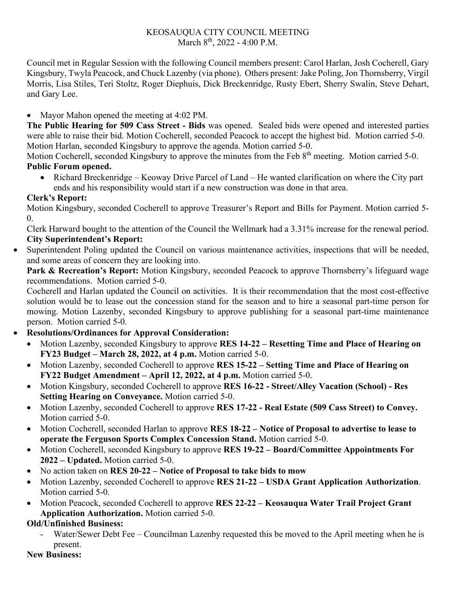### KEOSAUQUA CITY COUNCIL MEETING March  $8^{th}$ , 2022 - 4:00 P.M.

Council met in Regular Session with the following Council members present: Carol Harlan, Josh Cocherell, Gary Kingsbury, Twyla Peacock, and Chuck Lazenby (via phone). Others present: Jake Poling, Jon Thornsberry, Virgil Morris, Lisa Stiles, Teri Stoltz, Roger Diephuis, Dick Breckenridge, Rusty Ebert, Sherry Swalin, Steve Dehart, and Gary Lee.

• Mayor Mahon opened the meeting at 4:02 PM.

**The Public Hearing for 509 Cass Street - Bids** was opened. Sealed bids were opened and interested parties were able to raise their bid. Motion Cocherell, seconded Peacock to accept the highest bid. Motion carried 5-0. Motion Harlan, seconded Kingsbury to approve the agenda. Motion carried 5-0.

Motion Cocherell, seconded Kingsbury to approve the minutes from the Feb 8<sup>th</sup> meeting. Motion carried 5-0. **Public Forum opened.** 

• Richard Breckenridge – Keoway Drive Parcel of Land – He wanted clarification on where the City part ends and his responsibility would start if a new construction was done in that area.

## **Clerk's Report:**

Motion Kingsbury, seconded Cocherell to approve Treasurer's Report and Bills for Payment. Motion carried 5- 0.

Clerk Harward bought to the attention of the Council the Wellmark had a 3.31% increase for the renewal period. **City Superintendent's Report:**

Superintendent Poling updated the Council on various maintenance activities, inspections that will be needed, and some areas of concern they are looking into.

Park & Recreation's Report: Motion Kingsbury, seconded Peacock to approve Thornsberry's lifeguard wage recommendations. Motion carried 5-0.

Cocherell and Harlan updated the Council on activities. It is their recommendation that the most cost-effective solution would be to lease out the concession stand for the season and to hire a seasonal part-time person for mowing. Motion Lazenby, seconded Kingsbury to approve publishing for a seasonal part-time maintenance person. Motion carried 5-0.

# • **Resolutions/Ordinances for Approval Consideration:**

- Motion Lazenby, seconded Kingsbury to approve **RES 14-22 – Resetting Time and Place of Hearing on FY23 Budget – March 28, 2022, at 4 p.m.** Motion carried 5-0.
- Motion Lazenby, seconded Cocherell to approve **RES 15-22 – Setting Time and Place of Hearing on FY22 Budget Amendment – April 12, 2022, at 4 p.m.** Motion carried 5-0.
- Motion Kingsbury, seconded Cocherell to approve **RES 16-22 - Street/Alley Vacation (School) - Res Setting Hearing on Conveyance.** Motion carried 5-0.
- Motion Lazenby, seconded Cocherell to approve **RES 17-22 - Real Estate (509 Cass Street) to Convey.**  Motion carried 5-0.
- Motion Cocherell, seconded Harlan to approve **RES 18-22 – Notice of Proposal to advertise to lease to operate the Ferguson Sports Complex Concession Stand.** Motion carried 5-0.
- Motion Cocherell, seconded Kingsbury to approve **RES 19-22 – Board/Committee Appointments For 2022 – Updated.** Motion carried 5-0.
- No action taken on **RES 20-22 – Notice of Proposal to take bids to mow**
- Motion Lazenby, seconded Cocherell to approve **RES 21-22 – USDA Grant Application Authorization**. Motion carried 5-0.
- Motion Peacock, seconded Cocherell to approve **RES 22-22 – Keosauqua Water Trail Project Grant Application Authorization.** Motion carried 5-0.

# **Old/Unfinished Business:**

Water/Sewer Debt Fee – Councilman Lazenby requested this be moved to the April meeting when he is present.

## **New Business:**